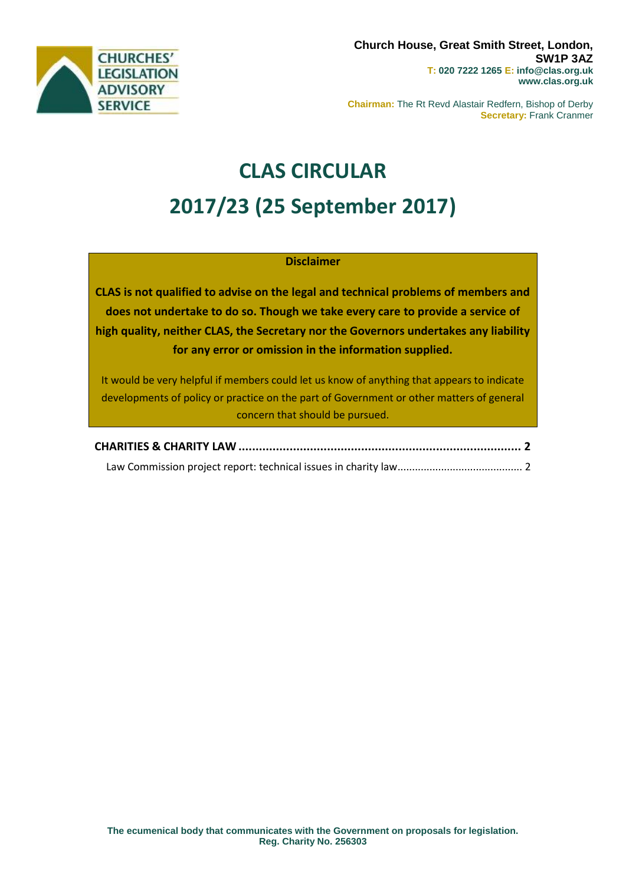

**Chairman:** The Rt Revd Alastair Redfern, Bishop of Derby **Secretary:** Frank Cranmer

# **CLAS CIRCULAR 2017/23 (25 September 2017)**

# **Disclaimer**

**CLAS is not qualified to advise on the legal and technical problems of members and does not undertake to do so. Though we take every care to provide a service of high quality, neither CLAS, the Secretary nor the Governors undertakes any liability for any error or omission in the information supplied.**

It would be very helpful if members could let us know of anything that appears to indicate developments of policy or practice on the part of Government or other matters of general concern that should be pursued.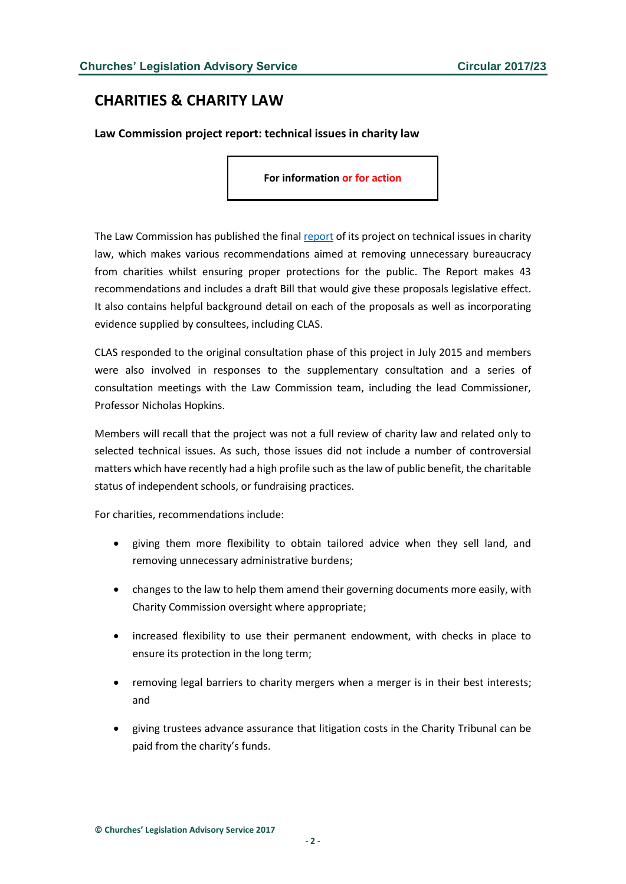# <span id="page-1-0"></span>**CHARITIES & CHARITY LAW**

<span id="page-1-1"></span>**Law Commission project report: technical issues in charity law**

**For information or for action**

The Law Commission has published the final [report](https://s3-eu-west-2.amazonaws.com/lawcom-prod-storage-11jsxou24uy7q/uploads/2017/09/6.3781_LC_HC304_Technical-Issues-in-Charity-Law_FINAL_080917_WEB.pdf) of its project on technical issues in charity law, which makes various recommendations aimed at removing unnecessary bureaucracy from charities whilst ensuring proper protections for the public. The Report makes 43 recommendations and includes a draft Bill that would give these proposals legislative effect. It also contains helpful background detail on each of the proposals as well as incorporating evidence supplied by consultees, including CLAS.

CLAS responded to the original consultation phase of this project in July 2015 and members were also involved in responses to the supplementary consultation and a series of consultation meetings with the Law Commission team, including the lead Commissioner, Professor Nicholas Hopkins.

Members will recall that the project was not a full review of charity law and related only to selected technical issues. As such, those issues did not include a number of controversial matters which have recently had a high profile such as the law of public benefit, the charitable status of independent schools, or fundraising practices.

For charities, recommendations include:

- giving them more flexibility to obtain tailored advice when they sell land, and removing unnecessary administrative burdens;
- changes to the law to help them amend their governing documents more easily, with Charity Commission oversight where appropriate;
- increased flexibility to use their permanent endowment, with checks in place to ensure its protection in the long term;
- removing legal barriers to charity mergers when a merger is in their best interests; and
- giving trustees advance assurance that litigation costs in the Charity Tribunal can be paid from the charity's funds.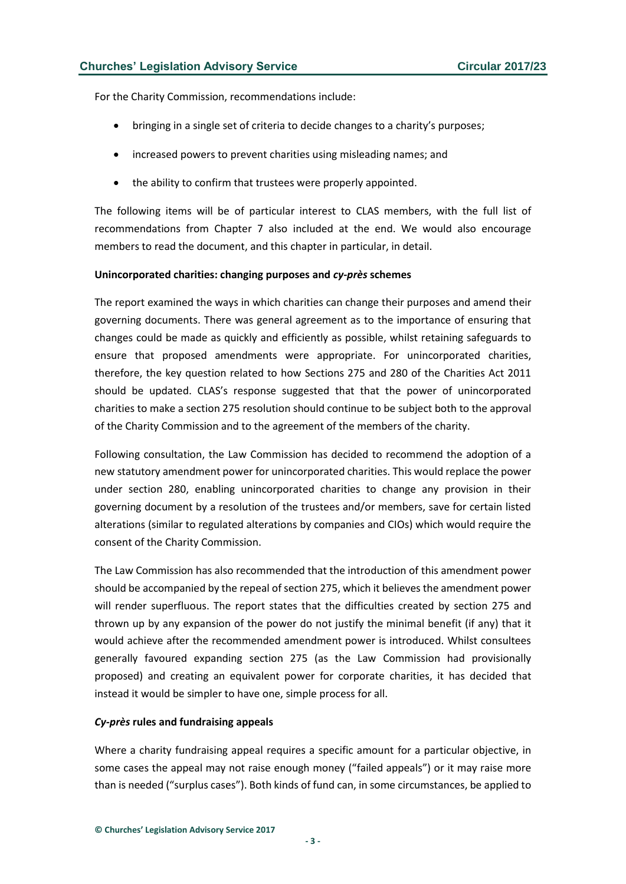For the Charity Commission, recommendations include:

- bringing in a single set of criteria to decide changes to a charity's purposes;
- increased powers to prevent charities using misleading names; and
- the ability to confirm that trustees were properly appointed.

The following items will be of particular interest to CLAS members, with the full list of recommendations from Chapter 7 also included at the end. We would also encourage members to read the document, and this chapter in particular, in detail.

# **Unincorporated charities: changing purposes and** *cy-près* **schemes**

The report examined the ways in which charities can change their purposes and amend their governing documents. There was general agreement as to the importance of ensuring that changes could be made as quickly and efficiently as possible, whilst retaining safeguards to ensure that proposed amendments were appropriate. For unincorporated charities, therefore, the key question related to how Sections 275 and 280 of the Charities Act 2011 should be updated. CLAS's response suggested that that the power of unincorporated charities to make a section 275 resolution should continue to be subject both to the approval of the Charity Commission and to the agreement of the members of the charity.

Following consultation, the Law Commission has decided to recommend the adoption of a new statutory amendment power for unincorporated charities. This would replace the power under section 280, enabling unincorporated charities to change any provision in their governing document by a resolution of the trustees and/or members, save for certain listed alterations (similar to regulated alterations by companies and CIOs) which would require the consent of the Charity Commission.

The Law Commission has also recommended that the introduction of this amendment power should be accompanied by the repeal of section 275, which it believes the amendment power will render superfluous. The report states that the difficulties created by section 275 and thrown up by any expansion of the power do not justify the minimal benefit (if any) that it would achieve after the recommended amendment power is introduced. Whilst consultees generally favoured expanding section 275 (as the Law Commission had provisionally proposed) and creating an equivalent power for corporate charities, it has decided that instead it would be simpler to have one, simple process for all.

# *Cy-près* **rules and fundraising appeals**

Where a charity fundraising appeal requires a specific amount for a particular objective, in some cases the appeal may not raise enough money ("failed appeals") or it may raise more than is needed ("surplus cases"). Both kinds of fund can, in some circumstances, be applied to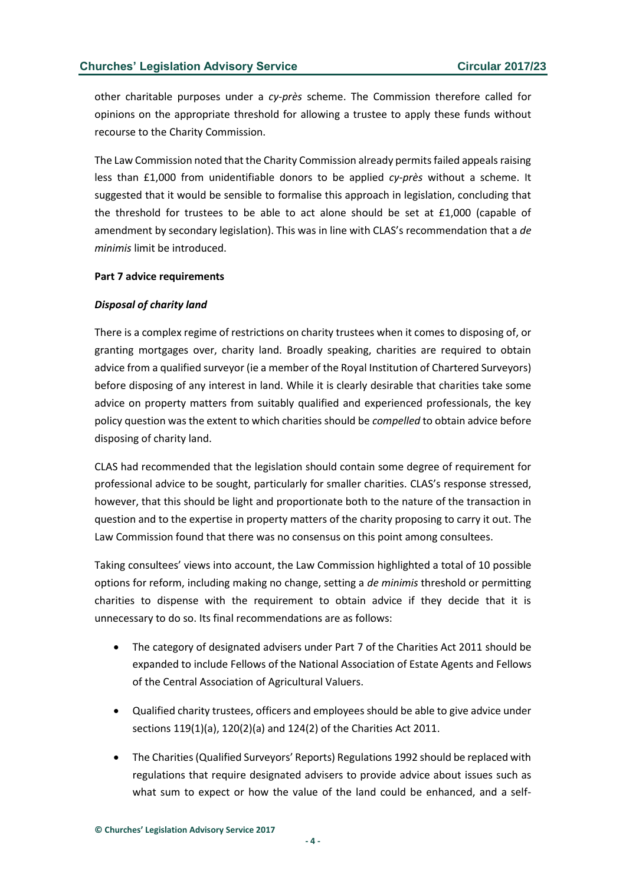other charitable purposes under a *cy-près* scheme. The Commission therefore called for opinions on the appropriate threshold for allowing a trustee to apply these funds without recourse to the Charity Commission.

The Law Commission noted that the Charity Commission already permits failed appeals raising less than £1,000 from unidentifiable donors to be applied *cy-près* without a scheme. It suggested that it would be sensible to formalise this approach in legislation, concluding that the threshold for trustees to be able to act alone should be set at  $£1,000$  (capable of amendment by secondary legislation). This was in line with CLAS's recommendation that a *de minimis* limit be introduced.

#### **Part 7 advice requirements**

#### *Disposal of charity land*

There is a complex regime of restrictions on charity trustees when it comes to disposing of, or granting mortgages over, charity land. Broadly speaking, charities are required to obtain advice from a qualified surveyor (ie a member of the Royal Institution of Chartered Surveyors) before disposing of any interest in land. While it is clearly desirable that charities take some advice on property matters from suitably qualified and experienced professionals, the key policy question was the extent to which charities should be *compelled* to obtain advice before disposing of charity land.

CLAS had recommended that the legislation should contain some degree of requirement for professional advice to be sought, particularly for smaller charities. CLAS's response stressed, however, that this should be light and proportionate both to the nature of the transaction in question and to the expertise in property matters of the charity proposing to carry it out. The Law Commission found that there was no consensus on this point among consultees.

Taking consultees' views into account, the Law Commission highlighted a total of 10 possible options for reform, including making no change, setting a *de minimis* threshold or permitting charities to dispense with the requirement to obtain advice if they decide that it is unnecessary to do so. Its final recommendations are as follows:

- The category of designated advisers under Part 7 of the Charities Act 2011 should be expanded to include Fellows of the National Association of Estate Agents and Fellows of the Central Association of Agricultural Valuers.
- Qualified charity trustees, officers and employees should be able to give advice under sections 119(1)(a), 120(2)(a) and 124(2) of the Charities Act 2011.
- The Charities (Qualified Surveyors' Reports) Regulations 1992 should be replaced with regulations that require designated advisers to provide advice about issues such as what sum to expect or how the value of the land could be enhanced, and a self-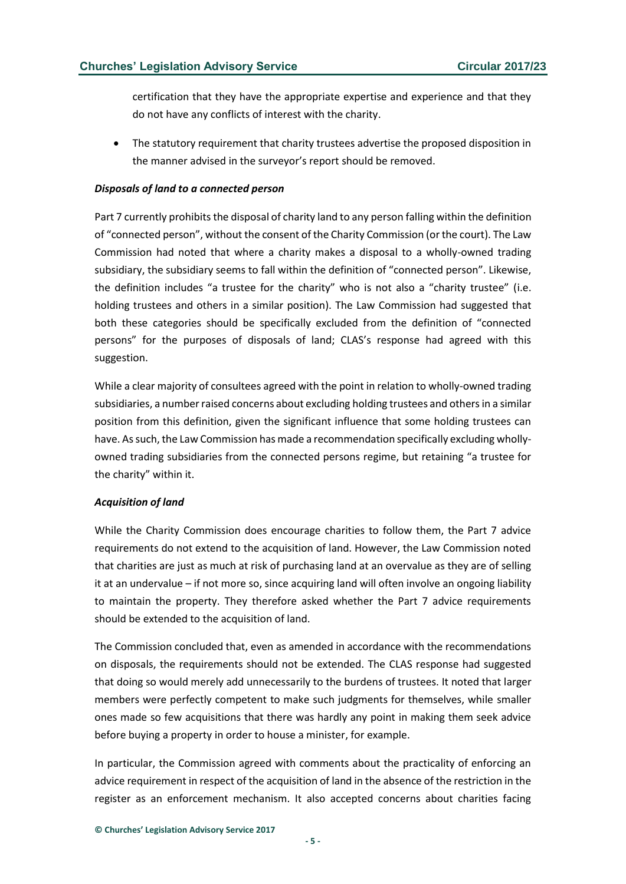certification that they have the appropriate expertise and experience and that they do not have any conflicts of interest with the charity.

The statutory requirement that charity trustees advertise the proposed disposition in the manner advised in the surveyor's report should be removed.

## *Disposals of land to a connected person*

Part 7 currently prohibits the disposal of charity land to any person falling within the definition of "connected person", without the consent of the Charity Commission (or the court). The Law Commission had noted that where a charity makes a disposal to a wholly-owned trading subsidiary, the subsidiary seems to fall within the definition of "connected person". Likewise, the definition includes "a trustee for the charity" who is not also a "charity trustee" (i.e. holding trustees and others in a similar position). The Law Commission had suggested that both these categories should be specifically excluded from the definition of "connected persons" for the purposes of disposals of land; CLAS's response had agreed with this suggestion.

While a clear majority of consultees agreed with the point in relation to wholly-owned trading subsidiaries, a number raised concerns about excluding holding trustees and others in a similar position from this definition, given the significant influence that some holding trustees can have. As such, the Law Commission has made a recommendation specifically excluding whollyowned trading subsidiaries from the connected persons regime, but retaining "a trustee for the charity" within it.

# *Acquisition of land*

While the Charity Commission does encourage charities to follow them, the Part 7 advice requirements do not extend to the acquisition of land. However, the Law Commission noted that charities are just as much at risk of purchasing land at an overvalue as they are of selling it at an undervalue – if not more so, since acquiring land will often involve an ongoing liability to maintain the property. They therefore asked whether the Part 7 advice requirements should be extended to the acquisition of land.

The Commission concluded that, even as amended in accordance with the recommendations on disposals, the requirements should not be extended. The CLAS response had suggested that doing so would merely add unnecessarily to the burdens of trustees. It noted that larger members were perfectly competent to make such judgments for themselves, while smaller ones made so few acquisitions that there was hardly any point in making them seek advice before buying a property in order to house a minister, for example.

In particular, the Commission agreed with comments about the practicality of enforcing an advice requirement in respect of the acquisition of land in the absence of the restriction in the register as an enforcement mechanism. It also accepted concerns about charities facing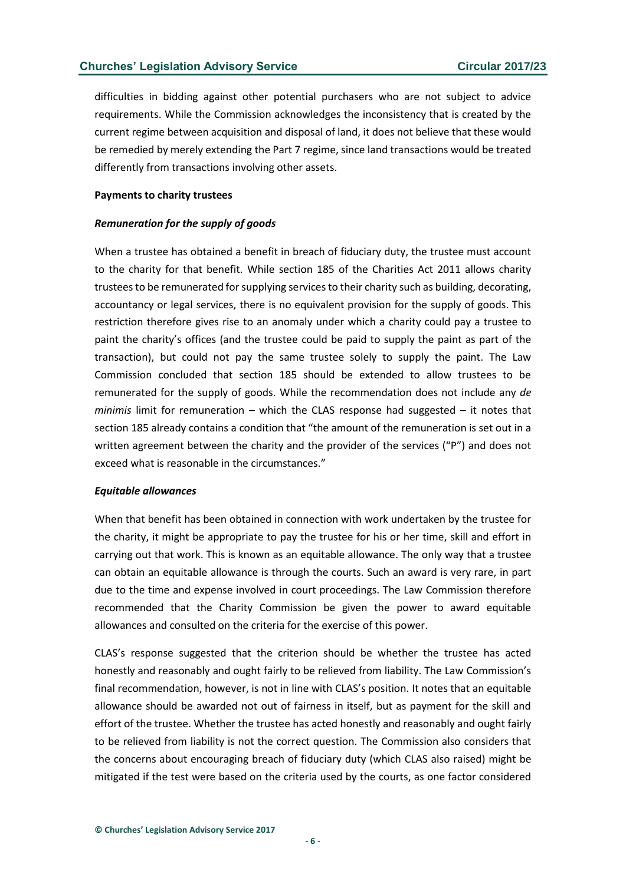difficulties in bidding against other potential purchasers who are not subject to advice requirements. While the Commission acknowledges the inconsistency that is created by the current regime between acquisition and disposal of land, it does not believe that these would be remedied by merely extending the Part 7 regime, since land transactions would be treated differently from transactions involving other assets.

#### **Payments to charity trustees**

#### *Remuneration for the supply of goods*

When a trustee has obtained a benefit in breach of fiduciary duty, the trustee must account to the charity for that benefit. While section 185 of the Charities Act 2011 allows charity trustees to be remunerated for supplying services to their charity such as building, decorating, accountancy or legal services, there is no equivalent provision for the supply of goods. This restriction therefore gives rise to an anomaly under which a charity could pay a trustee to paint the charity's offices (and the trustee could be paid to supply the paint as part of the transaction), but could not pay the same trustee solely to supply the paint. The Law Commission concluded that section 185 should be extended to allow trustees to be remunerated for the supply of goods. While the recommendation does not include any *de minimis* limit for remuneration – which the CLAS response had suggested – it notes that section 185 already contains a condition that "the amount of the remuneration is set out in a written agreement between the charity and the provider of the services ("P") and does not exceed what is reasonable in the circumstances."

#### *Equitable allowances*

When that benefit has been obtained in connection with work undertaken by the trustee for the charity, it might be appropriate to pay the trustee for his or her time, skill and effort in carrying out that work. This is known as an equitable allowance. The only way that a trustee can obtain an equitable allowance is through the courts. Such an award is very rare, in part due to the time and expense involved in court proceedings. The Law Commission therefore recommended that the Charity Commission be given the power to award equitable allowances and consulted on the criteria for the exercise of this power.

CLAS's response suggested that the criterion should be whether the trustee has acted honestly and reasonably and ought fairly to be relieved from liability. The Law Commission's final recommendation, however, is not in line with CLAS's position. It notes that an equitable allowance should be awarded not out of fairness in itself, but as payment for the skill and effort of the trustee. Whether the trustee has acted honestly and reasonably and ought fairly to be relieved from liability is not the correct question. The Commission also considers that the concerns about encouraging breach of fiduciary duty (which CLAS also raised) might be mitigated if the test were based on the criteria used by the courts, as one factor considered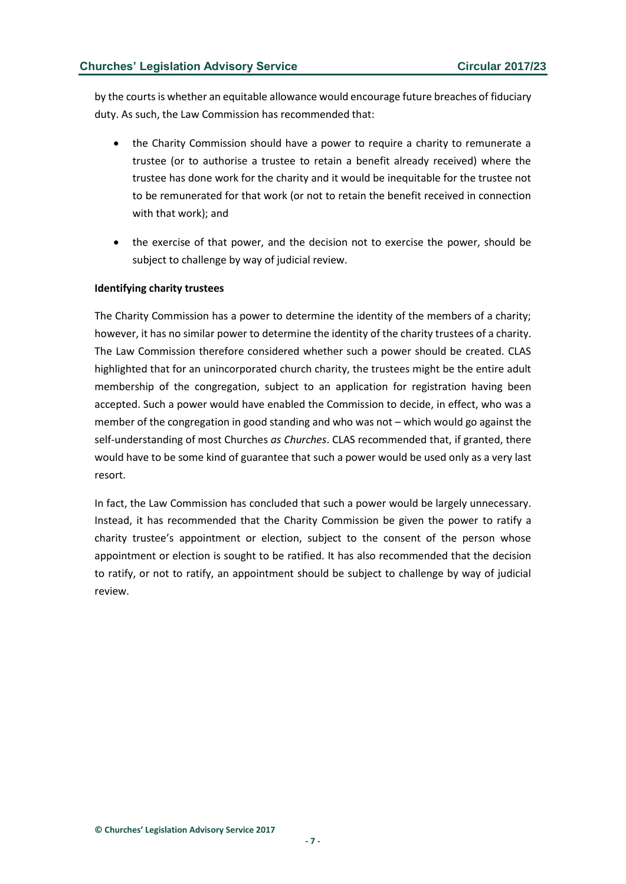by the courts is whether an equitable allowance would encourage future breaches of fiduciary duty. As such, the Law Commission has recommended that:

- the Charity Commission should have a power to require a charity to remunerate a trustee (or to authorise a trustee to retain a benefit already received) where the trustee has done work for the charity and it would be inequitable for the trustee not to be remunerated for that work (or not to retain the benefit received in connection with that work); and
- the exercise of that power, and the decision not to exercise the power, should be subject to challenge by way of judicial review.

# **Identifying charity trustees**

The Charity Commission has a power to determine the identity of the members of a charity; however, it has no similar power to determine the identity of the charity trustees of a charity. The Law Commission therefore considered whether such a power should be created. CLAS highlighted that for an unincorporated church charity, the trustees might be the entire adult membership of the congregation, subject to an application for registration having been accepted. Such a power would have enabled the Commission to decide, in effect, who was a member of the congregation in good standing and who was not – which would go against the self-understanding of most Churches *as Churches*. CLAS recommended that, if granted, there would have to be some kind of guarantee that such a power would be used only as a very last resort.

In fact, the Law Commission has concluded that such a power would be largely unnecessary. Instead, it has recommended that the Charity Commission be given the power to ratify a charity trustee's appointment or election, subject to the consent of the person whose appointment or election is sought to be ratified. It has also recommended that the decision to ratify, or not to ratify, an appointment should be subject to challenge by way of judicial review.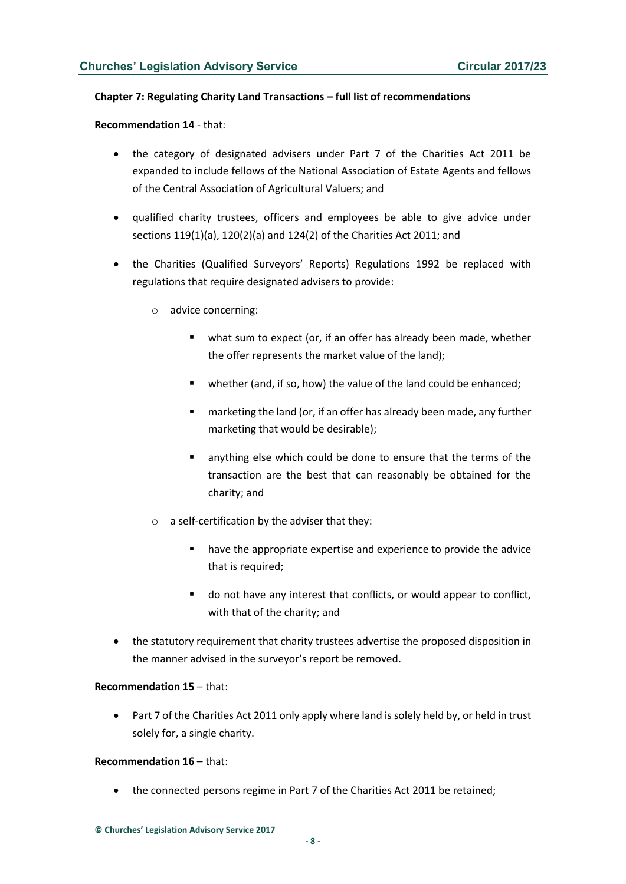#### **Chapter 7: Regulating Charity Land Transactions – full list of recommendations**

**Recommendation 14** - that:

- the category of designated advisers under Part 7 of the Charities Act 2011 be expanded to include fellows of the National Association of Estate Agents and fellows of the Central Association of Agricultural Valuers; and
- qualified charity trustees, officers and employees be able to give advice under sections 119(1)(a), 120(2)(a) and 124(2) of the Charities Act 2011; and
- the Charities (Qualified Surveyors' Reports) Regulations 1992 be replaced with regulations that require designated advisers to provide:
	- o advice concerning:
		- what sum to expect (or, if an offer has already been made, whether the offer represents the market value of the land);
		- whether (and, if so, how) the value of the land could be enhanced;
		- marketing the land (or, if an offer has already been made, any further marketing that would be desirable);
		- anything else which could be done to ensure that the terms of the transaction are the best that can reasonably be obtained for the charity; and
	- $\circ$  a self-certification by the adviser that they:
		- have the appropriate expertise and experience to provide the advice that is required;
		- do not have any interest that conflicts, or would appear to conflict, with that of the charity; and
- the statutory requirement that charity trustees advertise the proposed disposition in the manner advised in the surveyor's report be removed.

#### **Recommendation 15** – that:

• Part 7 of the Charities Act 2011 only apply where land is solely held by, or held in trust solely for, a single charity.

#### **Recommendation 16** – that:

• the connected persons regime in Part 7 of the Charities Act 2011 be retained;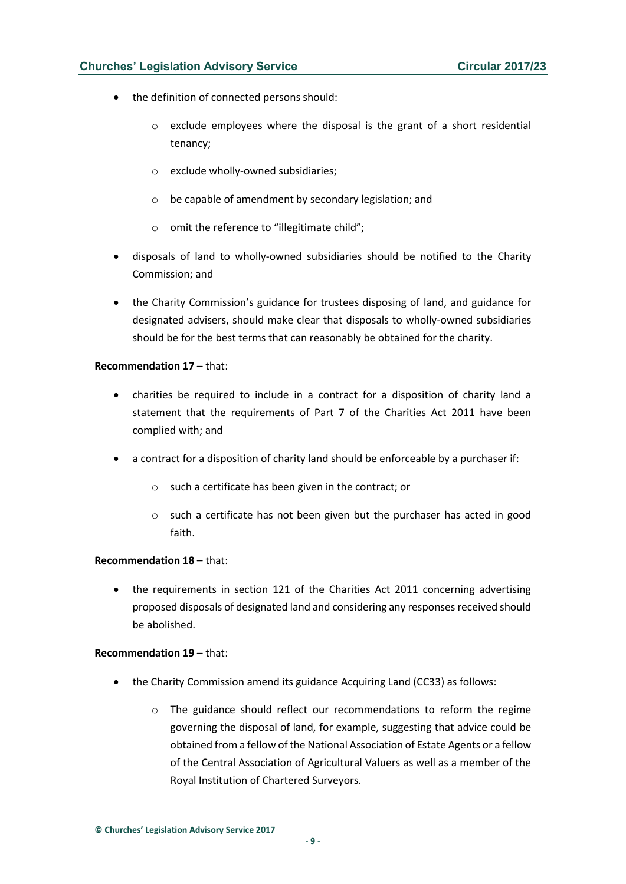# **Churches' Legislation Advisory Service Circular 2017/23**

- the definition of connected persons should:
	- o exclude employees where the disposal is the grant of a short residential tenancy;
	- o exclude wholly-owned subsidiaries;
	- o be capable of amendment by secondary legislation; and
	- o omit the reference to "illegitimate child";
- disposals of land to wholly-owned subsidiaries should be notified to the Charity Commission; and
- the Charity Commission's guidance for trustees disposing of land, and guidance for designated advisers, should make clear that disposals to wholly-owned subsidiaries should be for the best terms that can reasonably be obtained for the charity.

# **Recommendation 17** – that:

- charities be required to include in a contract for a disposition of charity land a statement that the requirements of Part 7 of the Charities Act 2011 have been complied with; and
- a contract for a disposition of charity land should be enforceable by a purchaser if:
	- o such a certificate has been given in the contract; or
	- $\circ$  such a certificate has not been given but the purchaser has acted in good faith.

# **Recommendation 18** – that:

the requirements in section 121 of the Charities Act 2011 concerning advertising proposed disposals of designated land and considering any responses received should be abolished.

#### **Recommendation 19** – that:

- the Charity Commission amend its guidance Acquiring Land (CC33) as follows:
	- o The guidance should reflect our recommendations to reform the regime governing the disposal of land, for example, suggesting that advice could be obtained from a fellow of the National Association of Estate Agents or a fellow of the Central Association of Agricultural Valuers as well as a member of the Royal Institution of Chartered Surveyors.